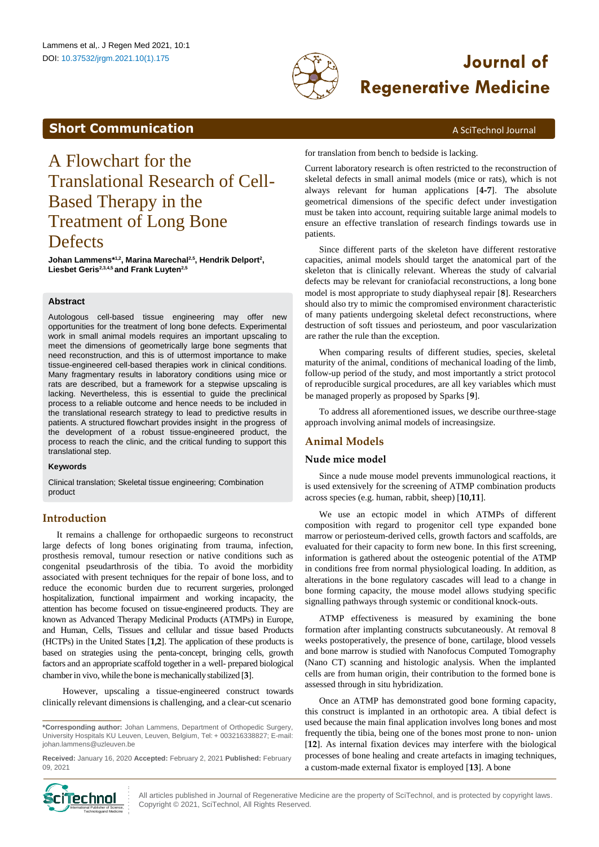

# DOI: 10.37532/jrgm.2021.10(1).175 **Journal of Regenerative Medicine**

# <span id="page-0-0"></span>**Short Communication** A SciTechnol Journal

# A Flowchart for the Translational Research of Cell-Based Therapy in the Treatment of Long Bone **Defects**

**Johan Lammens\*1,2, Marina Marechal2,5, Hendrik Delport<sup>2</sup> , Liesbet Geris2,3,4,5 and Frank Luyten2,5**

# **Abstract**

Autologous cell-based tissue engineering may offer new opportunities for the treatment of long bone defects. Experimental work in small animal models requires an important upscaling to meet the dimensions of geometrically large bone segments that need reconstruction, and this is of uttermost importance to make tissue-engineered cell-based therapies work in clinical conditions. Many fragmentary results in laboratory conditions using mice or rats are described, but a framework for a stepwise upscaling is lacking. Nevertheless, this is essential to guide the preclinical process to a reliable outcome and hence needs to be included in the translational research strategy to lead to predictive results in patients. A structured flowchart provides insight in the progress of the development of a robust tissue-engineered product, the process to reach the clinic, and the critical funding to support this translational step.

#### **Keywords**

Clinical translation; Skeletal tissue engineering; Combination product

# **Introduction**

It remains a challenge for orthopaedic surgeons to reconstruct large defects of long bones originating from trauma, infection, prosthesis removal, tumour resection or native conditions such as congenital pseudarthrosis of the tibia. To avoid the morbidity associated with present techniques for the repair of bone loss, and to reduce the economic burden due to recurrent surgeries, prolonged hospitalization, functional impairment and working incapacity, the attention has become focused on tissue-engineered products. They are known as Advanced Therapy Medicinal Products (ATMPs) in Europe, and Human, Cells, Tissues and cellular and tissue based Products (HCTPs) in the United States [**1,2**]. The application of these products is based on strategies using the penta-concept, bringing cells, growth factors and an appropriate scaffold together in a well- prepared biological chamber in vivo, while the bone is mechanically stabilized [3].

However, upscaling a tissue-engineered construct towards clinically relevant dimensions is challenging, and a clear-cut scenario

**Received:** January 16, 2020 **Accepted:** February 2, 2021 **Published:** February 09, 2021



for translation from bench to bedside is lacking.

Current laboratory research is often restricted to the reconstruction of skeletal defects in small animal models (mice or rats), which is not always relevant for human applications [**4-7**]. The absolute geometrical dimensions of the specific defect under investigation must be taken into account, requiring suitable large animal models to ensure an effective translation of research findings towards use in patients.

Since different parts of the skeleton have different restorative capacities, animal models should target the anatomical part of the skeleton that is clinically relevant. Whereas the study of calvarial defects may be relevant for craniofacial reconstructions, a long bone model is most appropriate to study diaphyseal repair [**8**]. Researchers should also try to mimic the compromised environment characteristic of many patients undergoing skeletal defect reconstructions, where destruction of soft tissues and periosteum, and poor vascularization are rather the rule than the exception.

When comparing results of different studies, species, skeletal maturity of the animal, conditions of mechanical loading of the limb, follow-up period of the study, and most importantly a strict protocol of reproducible surgical procedures, are all key variables which must be managed properly as proposed by Sparks [**9**].

To address all aforementioned issues, we describe ourthree-stage approach involving animal models of increasingsize.

# **Animal Models**

# **Nude mice model**

Since a nude mouse model prevents immunological reactions, it is used extensively for the screening of ATMP combination products across species (e.g. human, rabbit, sheep) [**10,11**].

We use an ectopic model in which ATMPs of different composition with regard to progenitor cell type expanded bone marrow or periosteum-derived cells, growth factors and scaffolds, are evaluated for their capacity to form new bone. In this first screening, information is gathered about the osteogenic potential of the ATMP in conditions free from normal physiological loading. In addition, as alterations in the bone regulatory cascades will lead to a change in bone forming capacity, the mouse model allows studying specific signalling pathways through systemic or conditional knock-outs.

ATMP effectiveness is measured by examining the bone formation after implanting constructs subcutaneously. At removal 8 weeks postoperatively, the presence of bone, cartilage, blood vessels and bone marrow is studied with Nanofocus Computed Tomography (Nano CT) scanning and histologic analysis. When the implanted cells are from human origin, their contribution to the formed bone is assessed through in situ hybridization.

Once an ATMP has demonstrated good bone forming capacity, this construct is implanted in an orthotopic area. A tibial defect is used because the main final application involves long bones and most frequently the tibia, being one of the bones most prone to non- union [**12**]. As internal fixation devices may interfere with the biological processes of bone healing and create artefacts in imaging techniques, a custom-made external fixator is employed [**13**]. A bone

All articles published in Journal of Regenerative Medicine are the property of SciTechnol, and is protected by copyright laws. **if PECORATION** : All articles published in Journal of Regenerative Med<br> **International Publisher of Science** : Copyright © 2021, SciTechnol, All Rights Reserved.

**<sup>\*</sup>Corresponding author:** Johan Lammens, Department of Orthopedic Surgery, University Hospitals KU Leuven, Leuven, Belgium, Tel: + 003216338827; E-mail: [johan.lammens@uzleuven.be](mailto:johan.lammens@uzleuven.be)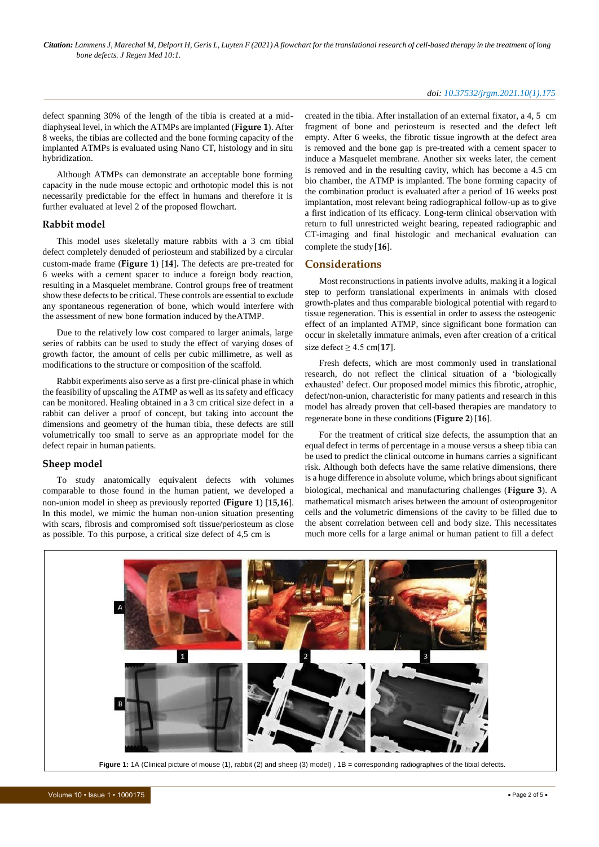#### *doi: 10.37532/jrgm.2021.10(1).175*

defect spanning 30% of the length of the tibia is created at a middiaphyseal level, in which the ATMPs are implanted (**Figure 1**). After 8 weeks, the tibias are collected and the bone forming capacity of the implanted ATMPs is evaluated using Nano CT, histology and in situ hybridization.

Although ATMPs can demonstrate an acceptable bone forming capacity in the nude mouse ectopic and orthotopic model this is not necessarily predictable for the effect in humans and therefore it is further evaluated at level 2 of the proposed flowchart.

#### **Rabbit model**

This model uses skeletally mature rabbits with a 3 cm tibial defect completely denuded of periosteum and stabilized by a circular custom-made frame (**Figure 1**) [**14**]**.** The defects are pre-treated for 6 weeks with a cement spacer to induce a foreign body reaction, resulting in a Masquelet membrane. Control groups free of treatment show these defects to be critical. These controls are essential to exclude any spontaneous regeneration of bone, which would interfere with the assessment of new bone formation induced by theATMP.

Due to the relatively low cost compared to larger animals, large series of rabbits can be used to study the effect of varying doses of growth factor, the amount of cells per cubic millimetre, as well as modifications to the structure or composition of the scaffold.

Rabbit experiments also serve as a first pre-clinical phase in which the feasibility of upscaling the ATMP as well as its safety and efficacy can be monitored. Healing obtained in a 3 cm critical size defect in a rabbit can deliver a proof of concept, but taking into account the dimensions and geometry of the human tibia, these defects are still volumetrically too small to serve as an appropriate model for the defect repair in human patients.

### **Sheep model**

To study anatomically equivalent defects with volumes comparable to those found in the human patient, we developed a non-union model in sheep as previously reported **(Figure 1**) [**15,16**]. In this model, we mimic the human non-union situation presenting with scars, fibrosis and compromised soft tissue/periosteum as close as possible. To this purpose, a critical size defect of 4,5 cm is

created in the tibia. After installation of an external fixator, a 4, 5 cm fragment of bone and periosteum is resected and the defect left empty. After 6 weeks, the fibrotic tissue ingrowth at the defect area is removed and the bone gap is pre-treated with a cement spacer to induce a Masquelet membrane. Another six weeks later, the cement is removed and in the resulting cavity, which has become a 4.5 cm bio chamber, the ATMP is implanted. The bone forming capacity of the combination product is evaluated after a period of 16 weeks post implantation, most relevant being radiographical follow-up as to give a first indication of its efficacy. Long-term clinical observation with return to full unrestricted weight bearing, repeated radiographic and CT-imaging and final histologic and mechanical evaluation can complete the study [**16**].

## **Considerations**

Most reconstructions in patients involve adults, making it a logical step to perform translational experiments in animals with closed growth-plates and thus comparable biological potential with regard to tissue regeneration. This is essential in order to assess the osteogenic effect of an implanted ATMP, since significant bone formation can occur in skeletally immature animals, even after creation of a critical size defect  $\geq 4.5$  cm[17].

Fresh defects, which are most commonly used in translational research, do not reflect the clinical situation of a 'biologically exhausted' defect. Our proposed model mimics this fibrotic, atrophic, defect/non-union, characteristic for many patients and research in this model has already proven that cell-based therapies are mandatory to regenerate bone in these conditions (**Figure 2**) [**16**].

For the treatment of critical size defects, the assumption that an equal defect in terms of percentage in a mouse versus a sheep tibia can be used to predict the clinical outcome in humans carries a significant risk. Although both defects have the same relative dimensions, there is a huge difference in absolute volume, which brings about significant biological, mechanical and manufacturing challenges (**Figure 3**). A mathematical mismatch arises between the amount of osteoprogenitor cells and the volumetric dimensions of the cavity to be filled due to the absent correlation between cell and body size. This necessitates much more cells for a large animal or human patient to fill a defect

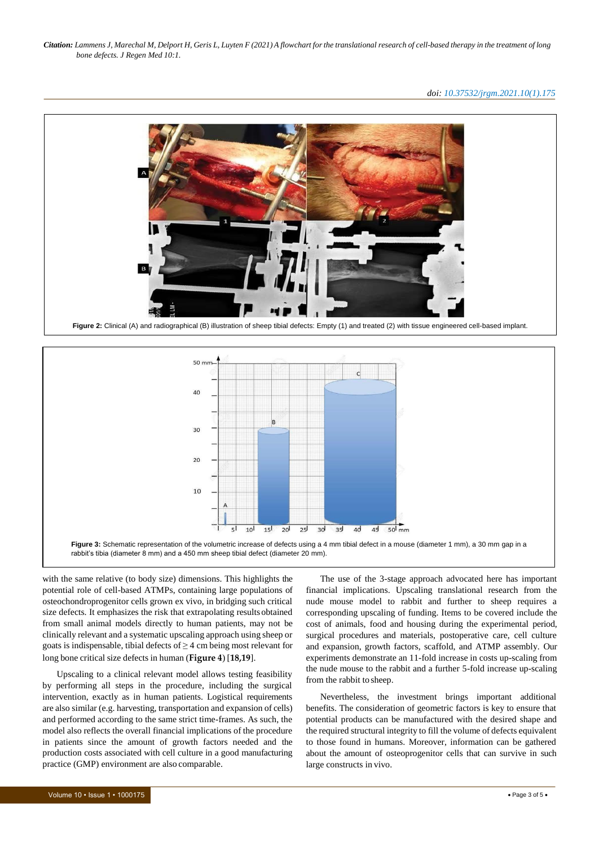*doi: 10.37532/jrgm.2021.10(1).175*





with the same relative (to body size) dimensions. This highlights the potential role of cell-based ATMPs, containing large populations of osteochondroprogenitor cells grown ex vivo, in bridging such critical size defects. It emphasizes the risk that extrapolating resultsobtained from small animal models directly to human patients, may not be clinically relevant and a systematic upscaling approach using sheep or goats is indispensable, tibial defects of  $\geq$  4 cm being most relevant for long bone critical size defects in human (**Figure 4**) [**18,19**].

Upscaling to a clinical relevant model allows testing feasibility by performing all steps in the procedure, including the surgical intervention, exactly as in human patients. Logistical requirements are also similar (e.g. harvesting, transportation and expansion of cells) and performed according to the same strict time-frames. As such, the model also reflects the overall financial implications of the procedure in patients since the amount of growth factors needed and the production costs associated with cell culture in a good manufacturing practice (GMP) environment are also comparable.

The use of the 3-stage approach advocated here has important financial implications. Upscaling translational research from the nude mouse model to rabbit and further to sheep requires a corresponding upscaling of funding. Items to be covered include the cost of animals, food and housing during the experimental period, surgical procedures and materials, postoperative care, cell culture and expansion, growth factors, scaffold, and ATMP assembly. Our experiments demonstrate an 11-fold increase in costs up-scaling from the nude mouse to the rabbit and a further 5-fold increase up-scaling from the rabbit to sheep.

Nevertheless, the investment brings important additional benefits. The consideration of geometric factors is key to ensure that potential products can be manufactured with the desired shape and the required structural integrity to fill the volume of defects equivalent to those found in humans. Moreover, information can be gathered about the amount of osteoprogenitor cells that can survive in such large constructs in vivo.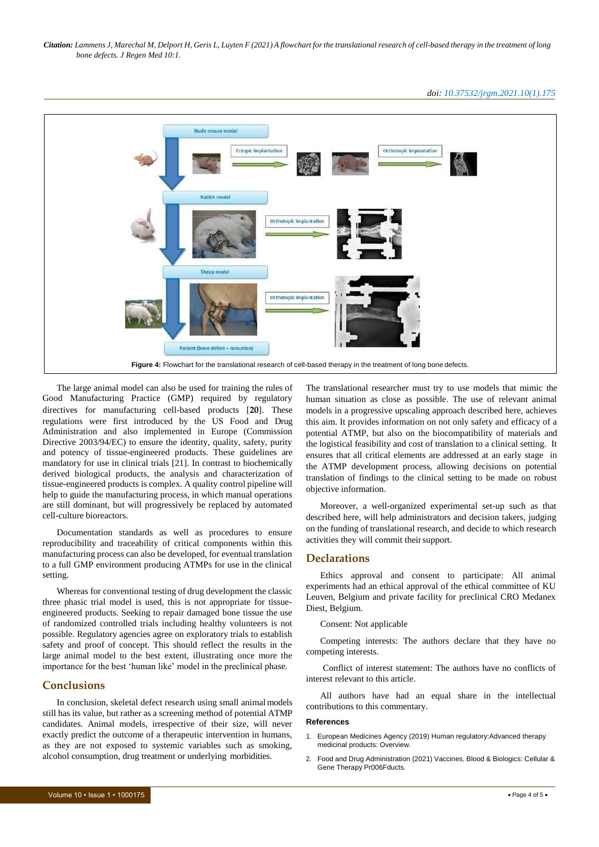*doi: 10.37532/jrgm.2021.10(1).175*



The large animal model can also be used for training the rules of Good Manufacturing Practice (GMP) required by regulatory directives for manufacturing cell-based products [**20**]. These regulations were first introduced by the US Food and Drug Administration and also implemented in Europe (Commission Directive 2003/94/EC) to ensure the identity, quality, safety, purity and potency of tissue-engineered products. These guidelines are mandatory for use in clinical trials [21]. In contrast to biochemically derived biological products, the analysis and characterization of tissue-engineered products is complex. A quality control pipeline will help to guide the manufacturing process, in which manual operations are still dominant, but will progressively be replaced by automated cell-culture bioreactors.

Documentation standards as well as procedures to ensure reproducibility and traceability of critical components within this manufacturing process can also be developed, for eventual translation to a full GMP environment producing ATMPs for use in the clinical setting.

Whereas for conventional testing of drug development the classic three phasic trial model is used, this is not appropriate for tissueengineered products. Seeking to repair damaged bone tissue the use of randomized controlled trials including healthy volunteers is not possible. Regulatory agencies agree on exploratory trials to establish safety and proof of concept. This should reflect the results in the large animal model to the best extent, illustrating once more the importance for the best 'human like' model in the preclinical phase.

# **Conclusions**

In conclusion, skeletal defect research using small animal models still has its value, but rather as a screening method of potential ATMP candidates. Animal models, irrespective of their size, will never exactly predict the outcome of a therapeutic intervention in humans, as they are not exposed to systemic variables such as smoking, alcohol consumption, drug treatment or underlying morbidities.

The translational researcher must try to use models that mimic the human situation as close as possible. The use of relevant animal models in a progressive upscaling approach described here, achieves this aim. It provides information on not only safety and efficacy of a potential ATMP, but also on the biocompatibility of materials and the logistical feasibility and cost of translation to a clinical setting. It ensures that all critical elements are addressed at an early stage in the ATMP development process, allowing decisions on potential translation of findings to the clinical setting to be made on robust objective information.

Moreover, a well-organized experimental set-up such as that described here, will help administrators and decision takers, judging on the funding of translational research, and decide to which research activities they will commit theirsupport.

# **Declarations**

Ethics approval and consent to participate: All animal experiments had an ethical approval of the ethical committee of KU Leuven, Belgium and private facility for preclinical CRO Medanex Diest, Belgium.

Consent: Not applicable

Competing interests: The authors declare that they have no competing interests.

Conflict of interest statement: The authors have no conflicts of interest relevant to this article.

All authors have had an equal share in the intellectual contributions to this commentary.

#### **References**

- 1. [European Medicines Agency \(2019\) Human regulatory:Advanced therapy](https://www.ema.europa.eu/en/human-regulatory/overview/advanced-therapy-medicinal-products-overview)  [medicinal products:](https://www.ema.europa.eu/en/human-regulatory/overview/advanced-therapy-medicinal-products-overview) Overview.
- 2. Food and Drug [Administration](https://www.fda.gov/vaccines-blood-biologics/cellular-gene-therapy-products) (2021) Vaccines, Blood & Biologics: Cellular & [Gene Therapy](https://www.fda.gov/vaccines-blood-biologics/cellular-gene-therapy-products) Pr006Fducts.